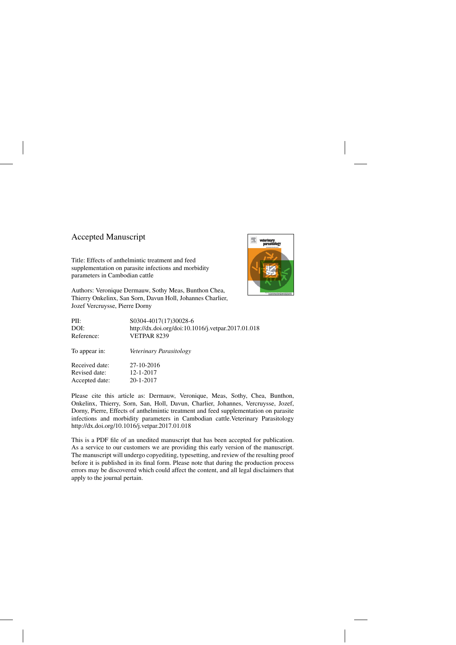### Accepted Manuscript

Title: Effects of anthelmintic treatment and feed supplementation on parasite infections and morbidity parameters in Cambodian cattle

Authors: Veronique Dermauw, Sothy Meas, Bunthon Chea, Thierry Onkelinx, San Sorn, Davun Holl, Johannes Charlier, Jozef Vercruysse, Pierre Dorny



| PII:           | S0304-4017(17)30028-6                              |
|----------------|----------------------------------------------------|
| DOI:           | http://dx.doi.org/doi:10.1016/j.vetpar.2017.01.018 |
| Reference:     | <b>VETPAR 8239</b>                                 |
| To appear in:  | Veterinary Parasitology                            |
| Received date: | 27-10-2016                                         |
| Revised date:  | 12-1-2017                                          |
| Accepted date: | 20-1-2017                                          |

Please cite this article as: Dermauw, Veronique, Meas, Sothy, Chea, Bunthon, Onkelinx, Thierry, Sorn, San, Holl, Davun, Charlier, Johannes, Vercruysse, Jozef, Dorny, Pierre, Effects of anthelmintic treatment and feed supplementation on parasite infections and morbidity parameters in Cambodian cattle.Veterinary Parasitology <http://dx.doi.org/10.1016/j.vetpar.2017.01.018>

This is a PDF file of an unedited manuscript that has been accepted for publication. As a service to our customers we are providing this early version of the manuscript. The manuscript will undergo copyediting, typesetting, and review of the resulting proof before it is published in its final form. Please note that during the production process errors may be discovered which could affect the content, and all legal disclaimers that apply to the journal pertain.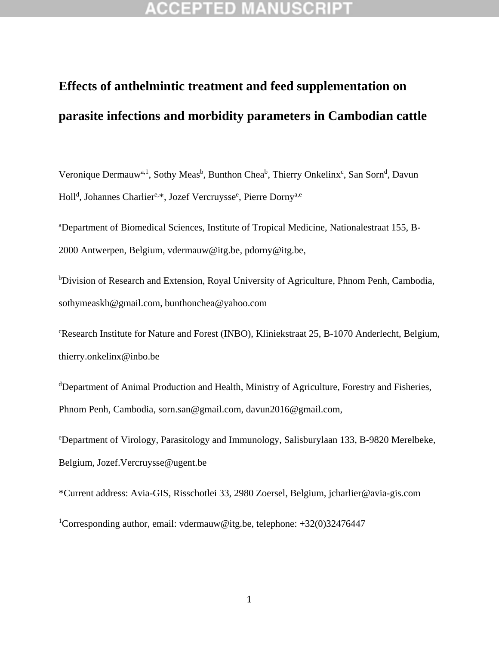## **CCEPTED MANUSCR**

# **Effects of anthelmintic treatment and feed supplementation on parasite infections and morbidity parameters in Cambodian cattle**

Veronique Dermauw<sup>a, 1</sup>, Sothy Meas<sup>b</sup>, Bunthon Chea<sup>b</sup>, Thierry Onkelinx<sup>c</sup>, San Sorn<sup>d</sup>, Davun Holl<sup>d</sup>, Johannes Charlier<sup>e,\*</sup>, Jozef Vercruysse<sup>e</sup>, Pierre Dorny<sup>a,e</sup>

<sup>a</sup>Department of Biomedical Sciences, Institute of Tropical Medicine, Nationalestraat 155, B-2000 Antwerpen, Belgium, [vdermauw@itg.be,](mailto:vdermauw@itg.be) pdorn[y@itg.be,](mailto:vdermauw@itg.be)

bDivision of Research and Extension, Royal University of Agriculture, Phnom Penh, Cambodia, sothymeaskh@gmail.com, bunthonchea@yahoo.com

<sup>c</sup>Research Institute for Nature and Forest (INBO), Kliniekstraat 25, B-1070 Anderlecht, Belgium, thierry.onkelinx@inbo.be

<sup>d</sup>Department of Animal Production and Health, Ministry of Agriculture, Forestry and Fisheries, Phnom Penh, Cambodia, [sorn.san@gmail.com,](mailto:sorn.san@gmail.com) davun2016@gmail.com,

<sup>e</sup>Department of Virology, Parasitology and Immunology, Salisburylaan 133, B-9820 Merelbeke, Belgium, Jozef.Vercruysse@ugent.be

\*Current address: Avia-GIS, Risschotlei 33, 2980 Zoersel, Belgium, jcharlier@avia-gis.com <sup>1</sup>Corresponding author, email: [vdermauw@itg.be,](mailto:vdermauw@itg.be) telephone:  $+32(0)32476447$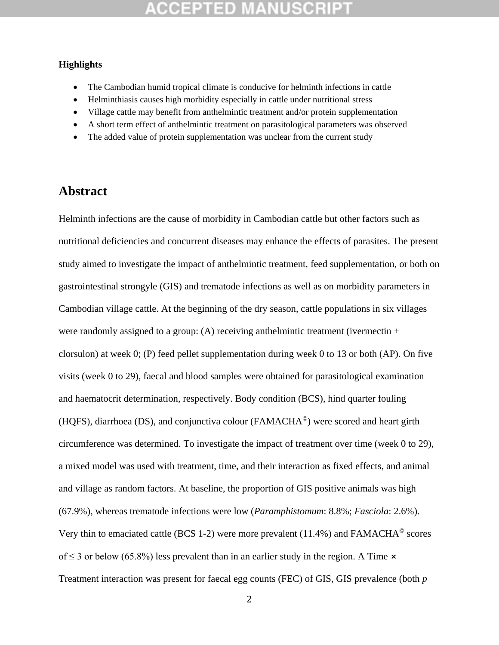#### **Highlights**

- The Cambodian humid tropical climate is conducive for helminth infections in cattle
- Helminthiasis causes high morbidity especially in cattle under nutritional stress
- Village cattle may benefit from anthelmintic treatment and/or protein supplementation
- A short term effect of anthelmintic treatment on parasitological parameters was observed
- The added value of protein supplementation was unclear from the current study

### **Abstract**

Helminth infections are the cause of morbidity in Cambodian cattle but other factors such as nutritional deficiencies and concurrent diseases may enhance the effects of parasites. The present study aimed to investigate the impact of anthelmintic treatment, feed supplementation, or both on gastrointestinal strongyle (GIS) and trematode infections as well as on morbidity parameters in Cambodian village cattle. At the beginning of the dry season, cattle populations in six villages were randomly assigned to a group: (A) receiving anthelmintic treatment (ivermectin + clorsulon) at week 0; (P) feed pellet supplementation during week 0 to 13 or both (AP). On five visits (week 0 to 29), faecal and blood samples were obtained for parasitological examination and haematocrit determination, respectively. Body condition (BCS), hind quarter fouling (HQFS), diarrhoea (DS), and conjunctiva colour (FAMACHA©) were scored and heart girth circumference was determined. To investigate the impact of treatment over time (week 0 to 29), a mixed model was used with treatment, time, and their interaction as fixed effects, and animal and village as random factors. At baseline, the proportion of GIS positive animals was high (67.9%), whereas trematode infections were low (*Paramphistomum*: 8.8%; *Fasciola*: 2.6%). Very thin to emaciated cattle (BCS 1-2) were more prevalent (11.4%) and  $FAMACHA<sup>°</sup>$  scores of  $\leq$  3 or below (65.8%) less prevalent than in an earlier study in the region. A Time  $\times$ Treatment interaction was present for faecal egg counts (FEC) of GIS, GIS prevalence (both *p*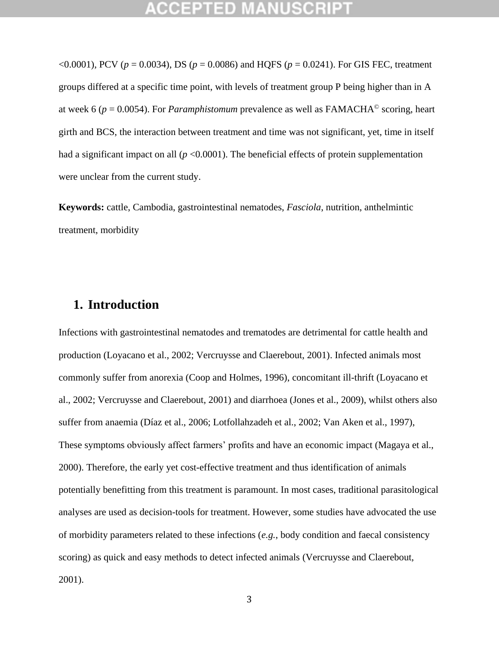$(0.0001)$ , PCV ( $p = 0.0034$ ), DS ( $p = 0.0086$ ) and HQFS ( $p = 0.0241$ ). For GIS FEC, treatment groups differed at a specific time point, with levels of treatment group P being higher than in A at week 6 ( $p = 0.0054$ ). For *Paramphistomum* prevalence as well as FAMACHA<sup>©</sup> scoring, heart girth and BCS, the interaction between treatment and time was not significant, yet, time in itself had a significant impact on all  $(p < 0.0001)$ . The beneficial effects of protein supplementation were unclear from the current study.

**Keywords:** cattle, Cambodia, gastrointestinal nematodes, *Fasciola*, nutrition, anthelmintic treatment, morbidity

### **1. Introduction**

Infections with gastrointestinal nematodes and trematodes are detrimental for cattle health and production (Loyacano et al., 2002; Vercruysse and Claerebout, 2001). Infected animals most commonly suffer from anorexia (Coop and Holmes, 1996), concomitant ill-thrift (Loyacano et al., 2002; Vercruysse and Claerebout, 2001) and diarrhoea (Jones et al., 2009), whilst others also suffer from anaemia (Díaz et al., 2006; Lotfollahzadeh et al., 2002; Van Aken et al., 1997), These symptoms obviously affect farmers' profits and have an economic impact (Magaya et al., 2000). Therefore, the early yet cost-effective treatment and thus identification of animals potentially benefitting from this treatment is paramount. In most cases, traditional parasitological analyses are used as decision-tools for treatment. However, some studies have advocated the use of morbidity parameters related to these infections (*e.g.*, body condition and faecal consistency scoring) as quick and easy methods to detect infected animals (Vercruysse and Claerebout, 2001).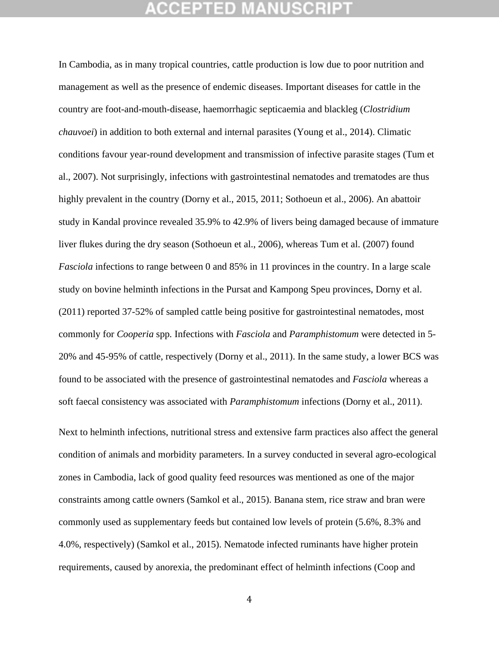### GEPTED

In Cambodia, as in many tropical countries, cattle production is low due to poor nutrition and management as well as the presence of endemic diseases. Important diseases for cattle in the country are foot-and-mouth-disease, haemorrhagic septicaemia and blackleg (*Clostridium chauvoei*) in addition to both external and internal parasites (Young et al., 2014). Climatic conditions favour year-round development and transmission of infective parasite stages (Tum et al., 2007). Not surprisingly, infections with gastrointestinal nematodes and trematodes are thus highly prevalent in the country (Dorny et al., 2015, 2011; Sothoeun et al., 2006). An abattoir study in Kandal province revealed 35.9% to 42.9% of livers being damaged because of immature liver flukes during the dry season (Sothoeun et al., 2006), whereas Tum et al. (2007) found *Fasciola* infections to range between 0 and 85% in 11 provinces in the country. In a large scale study on bovine helminth infections in the Pursat and Kampong Speu provinces, Dorny et al. (2011) reported 37-52% of sampled cattle being positive for gastrointestinal nematodes, most commonly for *Cooperia* spp*.* Infections with *Fasciola* and *Paramphistomum* were detected in 5- 20% and 45-95% of cattle, respectively (Dorny et al., 2011). In the same study, a lower BCS was found to be associated with the presence of gastrointestinal nematodes and *Fasciola* whereas a soft faecal consistency was associated with *Paramphistomum* infections (Dorny et al., 2011).

Next to helminth infections, nutritional stress and extensive farm practices also affect the general condition of animals and morbidity parameters. In a survey conducted in several agro-ecological zones in Cambodia, lack of good quality feed resources was mentioned as one of the major constraints among cattle owners (Samkol et al., 2015). Banana stem, rice straw and bran were commonly used as supplementary feeds but contained low levels of protein (5.6%, 8.3% and 4.0%, respectively) (Samkol et al., 2015). Nematode infected ruminants have higher protein requirements, caused by anorexia, the predominant effect of helminth infections (Coop and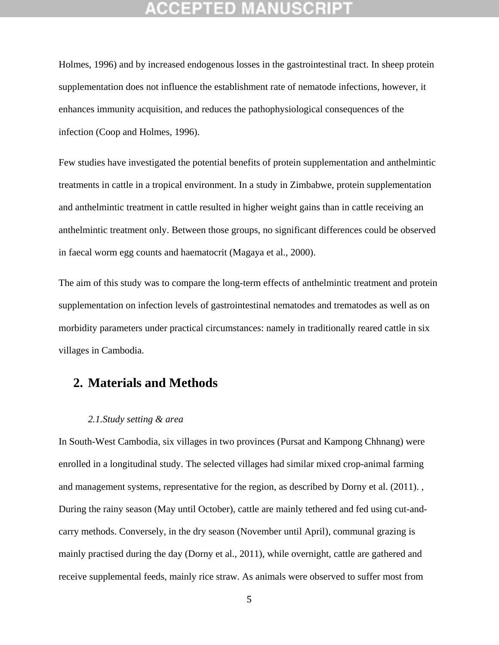Holmes, 1996) and by increased endogenous losses in the gastrointestinal tract. In sheep protein supplementation does not influence the establishment rate of nematode infections, however, it enhances immunity acquisition, and reduces the pathophysiological consequences of the infection (Coop and Holmes, 1996).

Few studies have investigated the potential benefits of protein supplementation and anthelmintic treatments in cattle in a tropical environment. In a study in Zimbabwe, protein supplementation and anthelmintic treatment in cattle resulted in higher weight gains than in cattle receiving an anthelmintic treatment only. Between those groups, no significant differences could be observed in faecal worm egg counts and haematocrit (Magaya et al., 2000).

The aim of this study was to compare the long-term effects of anthelmintic treatment and protein supplementation on infection levels of gastrointestinal nematodes and trematodes as well as on morbidity parameters under practical circumstances: namely in traditionally reared cattle in six villages in Cambodia.

### **2. Materials and Methods**

#### *2.1.Study setting & area*

In South-West Cambodia, six villages in two provinces (Pursat and Kampong Chhnang) were enrolled in a longitudinal study. The selected villages had similar mixed crop-animal farming and management systems, representative for the region, as described by Dorny et al. (2011). , During the rainy season (May until October), cattle are mainly tethered and fed using cut-andcarry methods. Conversely, in the dry season (November until April), communal grazing is mainly practised during the day (Dorny et al., 2011), while overnight, cattle are gathered and receive supplemental feeds, mainly rice straw. As animals were observed to suffer most from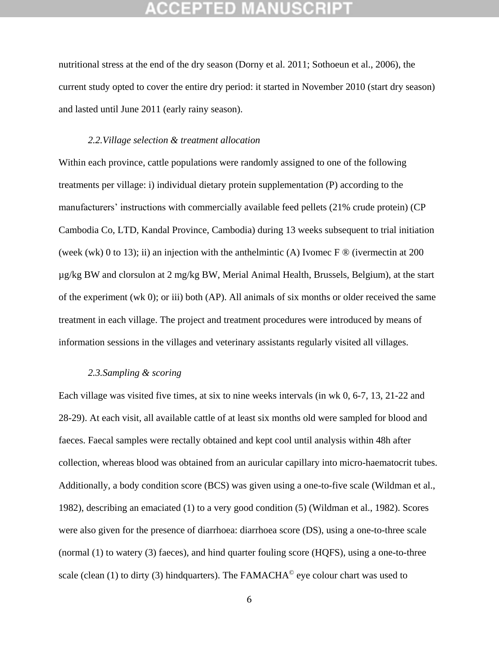### GEPTED

nutritional stress at the end of the dry season (Dorny et al. 2011; Sothoeun et al., 2006), the current study opted to cover the entire dry period: it started in November 2010 (start dry season) and lasted until June 2011 (early rainy season).

### *2.2.Village selection & treatment allocation*

Within each province, cattle populations were randomly assigned to one of the following treatments per village: i) individual dietary protein supplementation (P) according to the manufacturers' instructions with commercially available feed pellets (21% crude protein) (CP Cambodia Co, LTD, Kandal Province, Cambodia) during 13 weeks subsequent to trial initiation (week (wk) 0 to 13); ii) an injection with the anthelmintic (A) Ivomec  $F \otimes$  (ivermectin at 200 µg/kg BW and clorsulon at 2 mg/kg BW, Merial Animal Health, Brussels, Belgium), at the start of the experiment (wk 0); or iii) both (AP). All animals of six months or older received the same treatment in each village. The project and treatment procedures were introduced by means of information sessions in the villages and veterinary assistants regularly visited all villages.

#### *2.3.Sampling & scoring*

Each village was visited five times, at six to nine weeks intervals (in wk 0, 6-7, 13, 21-22 and 28-29). At each visit, all available cattle of at least six months old were sampled for blood and faeces. Faecal samples were rectally obtained and kept cool until analysis within 48h after collection, whereas blood was obtained from an auricular capillary into micro-haematocrit tubes. Additionally, a body condition score (BCS) was given using a one-to-five scale (Wildman et al., 1982), describing an emaciated (1) to a very good condition (5) (Wildman et al., 1982). Scores were also given for the presence of diarrhoea: diarrhoea score (DS), using a one-to-three scale (normal (1) to watery (3) faeces), and hind quarter fouling score (HQFS), using a one-to-three scale (clean (1) to dirty (3) hindquarters). The  $FAMACHA<sup>°</sup>$  eye colour chart was used to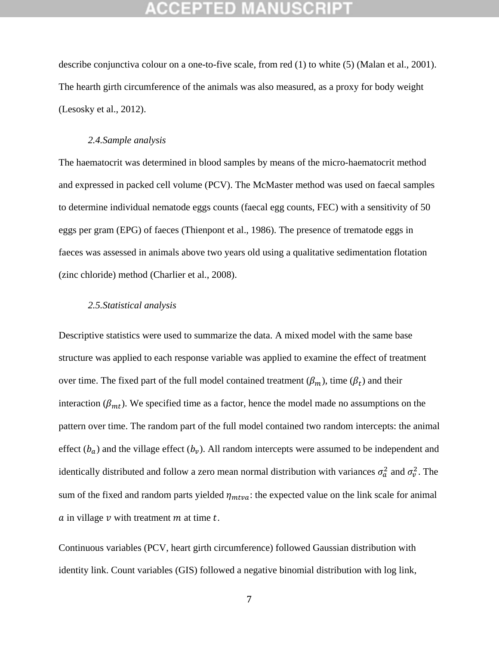describe conjunctiva colour on a one-to-five scale, from red (1) to white (5) (Malan et al., 2001). The hearth girth circumference of the animals was also measured, as a proxy for body weight (Lesosky et al., 2012).

#### *2.4.Sample analysis*

The haematocrit was determined in blood samples by means of the micro-haematocrit method and expressed in packed cell volume (PCV). The McMaster method was used on faecal samples to determine individual nematode eggs counts (faecal egg counts, FEC) with a sensitivity of 50 eggs per gram (EPG) of faeces (Thienpont et al., 1986). The presence of trematode eggs in faeces was assessed in animals above two years old using a qualitative sedimentation flotation (zinc chloride) method (Charlier et al., 2008).

#### *2.5.Statistical analysis*

Descriptive statistics were used to summarize the data. A mixed model with the same base structure was applied to each response variable was applied to examine the effect of treatment over time. The fixed part of the full model contained treatment  $(\beta_m)$ , time  $(\beta_t)$  and their interaction ( $\beta_{mt}$ ). We specified time as a factor, hence the model made no assumptions on the pattern over time. The random part of the full model contained two random intercepts: the animal effect  $(b_a)$  and the village effect  $(b_v)$ . All random intercepts were assumed to be independent and identically distributed and follow a zero mean normal distribution with variances  $\sigma_a^2$  and  $\sigma_v^2$ . The sum of the fixed and random parts yielded  $\eta_{mtv}$ : the expected value on the link scale for animal  $\alpha$  in village  $\nu$  with treatment  $m$  at time  $t$ .

Continuous variables (PCV, heart girth circumference) followed Gaussian distribution with identity link. Count variables (GIS) followed a negative binomial distribution with log link,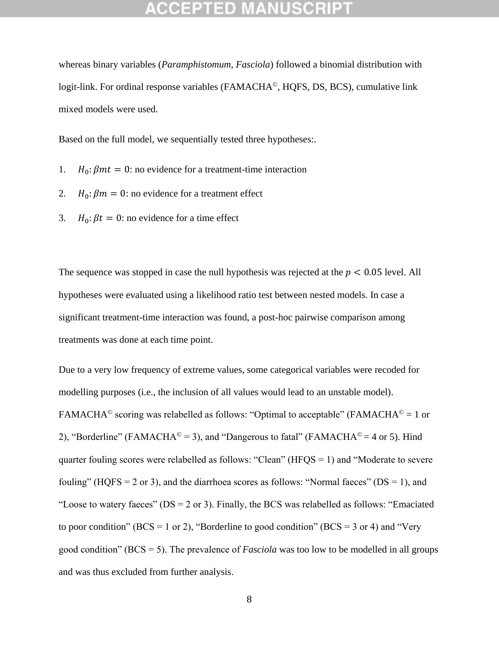whereas binary variables (*Paramphistomum*, *Fasciola*) followed a binomial distribution with logit-link. For ordinal response variables (FAMACHA<sup>©</sup>, HQFS, DS, BCS), cumulative link mixed models were used.

Based on the full model, we sequentially tested three hypotheses:.

- 1.  $H_0: \beta m t = 0$ : no evidence for a treatment-time interaction
- 2.  $H_0: \beta m = 0$ : no evidence for a treatment effect
- 3.  $H_0: \beta t = 0$ : no evidence for a time effect

The sequence was stopped in case the null hypothesis was rejected at the  $p < 0.05$  level. All hypotheses were evaluated using a likelihood ratio test between nested models. In case a significant treatment-time interaction was found, a post-hoc pairwise comparison among treatments was done at each time point.

Due to a very low frequency of extreme values, some categorical variables were recoded for modelling purposes (i.e., the inclusion of all values would lead to an unstable model). FAMACHA<sup> $\circ$ </sup> scoring was relabelled as follows: "Optimal to acceptable" (FAMACHA $\circ$  = 1 or 2), "Borderline" (FAMACHA<sup> $\circ$ </sup> = 3), and "Dangerous to fatal" (FAMACHA<sup> $\circ$ </sup> = 4 or 5). Hind quarter fouling scores were relabelled as follows: "Clean" (HFQS = 1) and "Moderate to severe fouling" (HQFS = 2 or 3), and the diarrhoea scores as follows: "Normal faeces" ( $DS = 1$ ), and "Loose to watery faeces" ( $DS = 2$  or 3). Finally, the BCS was relabelled as follows: "Emaciated to poor condition" (BCS = 1 or 2), "Borderline to good condition" (BCS = 3 or 4) and "Very good condition" (BCS = 5). The prevalence of *Fasciola* was too low to be modelled in all groups and was thus excluded from further analysis.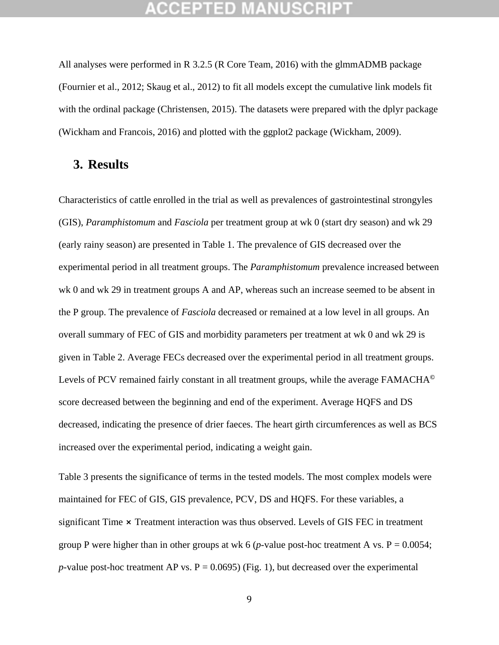All analyses were performed in R 3.2.5 (R Core Team, 2016) with the glmmADMB package (Fournier et al., 2012; Skaug et al., 2012) to fit all models except the cumulative link models fit with the ordinal package (Christensen, 2015). The datasets were prepared with the dplyr package (Wickham and Francois, 2016) and plotted with the ggplot2 package (Wickham, 2009).

### **3. Results**

Characteristics of cattle enrolled in the trial as well as prevalences of gastrointestinal strongyles (GIS), *Paramphistomum* and *Fasciola* per treatment group at wk 0 (start dry season) and wk 29 (early rainy season) are presented in Table 1. The prevalence of GIS decreased over the experimental period in all treatment groups. The *Paramphistomum* prevalence increased between wk 0 and wk 29 in treatment groups A and AP, whereas such an increase seemed to be absent in the P group. The prevalence of *Fasciola* decreased or remained at a low level in all groups. An overall summary of FEC of GIS and morbidity parameters per treatment at wk 0 and wk 29 is given in Table 2. Average FECs decreased over the experimental period in all treatment groups. Levels of PCV remained fairly constant in all treatment groups, while the average FAMACHA**©** score decreased between the beginning and end of the experiment. Average HQFS and DS decreased, indicating the presence of drier faeces. The heart girth circumferences as well as BCS increased over the experimental period, indicating a weight gain.

Table 3 presents the significance of terms in the tested models. The most complex models were maintained for FEC of GIS, GIS prevalence, PCV, DS and HQFS. For these variables, a significant Time  $\times$  Treatment interaction was thus observed. Levels of GIS FEC in treatment group P were higher than in other groups at wk 6 (*p*-value post-hoc treatment A vs.  $P = 0.0054$ ; *p*-value post-hoc treatment AP vs.  $P = 0.0695$  (Fig. 1), but decreased over the experimental

9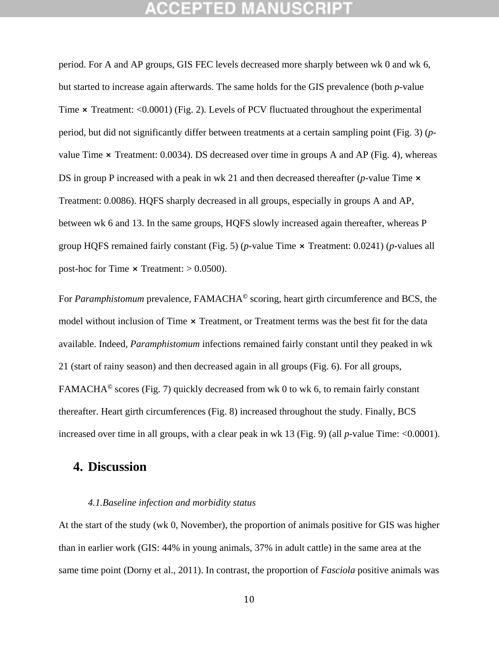period. For A and AP groups, GIS FEC levels decreased more sharply between wk 0 and wk 6, but started to increase again afterwards. The same holds for the GIS prevalence (both *p*-value Time  $\times$  Treatment: <0.0001) (Fig. 2). Levels of PCV fluctuated throughout the experimental period, but did not significantly differ between treatments at a certain sampling point (Fig. 3) (*p*value Time  $\times$  Treatment: 0.0034). DS decreased over time in groups A and AP (Fig. 4), whereas DS in group P increased with a peak in wk 21 and then decreased thereafter (*p*-value Time  $\times$ Treatment: 0.0086). HQFS sharply decreased in all groups, especially in groups A and AP, between wk 6 and 13. In the same groups, HQFS slowly increased again thereafter, whereas P group HQFS remained fairly constant (Fig. 5) (*p*-value Time ⨯ Treatment: 0.0241) (*p*-values all post-hoc for Time  $\times$  Treatment:  $> 0.0500$ ).

For *Paramphistomum* prevalence, FAMACHA**©** scoring, heart girth circumference and BCS, the model without inclusion of Time  $\times$  Treatment, or Treatment terms was the best fit for the data available. Indeed, *Paramphistomum* infections remained fairly constant until they peaked in wk 21 (start of rainy season) and then decreased again in all groups (Fig. 6). For all groups, FAMACHA**©** scores (Fig. 7) quickly decreased from wk 0 to wk 6, to remain fairly constant thereafter. Heart girth circumferences (Fig. 8) increased throughout the study. Finally, BCS increased over time in all groups, with a clear peak in wk 13 (Fig. 9) (all *p*-value Time: <0.0001).

### **4. Discussion**

#### *4.1.Baseline infection and morbidity status*

At the start of the study (wk 0, November), the proportion of animals positive for GIS was higher than in earlier work (GIS: 44% in young animals, 37% in adult cattle) in the same area at the same time point (Dorny et al., 2011). In contrast, the proportion of *Fasciola* positive animals was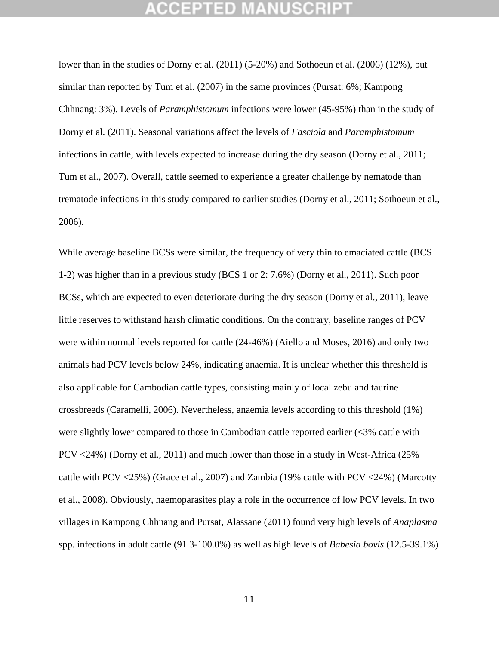lower than in the studies of Dorny et al. (2011) (5-20%) and Sothoeun et al. (2006) (12%), but similar than reported by Tum et al. (2007) in the same provinces (Pursat: 6%; Kampong Chhnang: 3%). Levels of *Paramphistomum* infections were lower (45-95%) than in the study of Dorny et al. (2011). Seasonal variations affect the levels of *Fasciola* and *Paramphistomum* infections in cattle, with levels expected to increase during the dry season (Dorny et al., 2011; Tum et al., 2007). Overall, cattle seemed to experience a greater challenge by nematode than trematode infections in this study compared to earlier studies (Dorny et al., 2011; Sothoeun et al., 2006).

While average baseline BCSs were similar, the frequency of very thin to emaciated cattle (BCS 1-2) was higher than in a previous study (BCS 1 or 2: 7.6%) (Dorny et al., 2011). Such poor BCSs, which are expected to even deteriorate during the dry season (Dorny et al., 2011), leave little reserves to withstand harsh climatic conditions. On the contrary, baseline ranges of PCV were within normal levels reported for cattle (24-46%) (Aiello and Moses, 2016) and only two animals had PCV levels below 24%, indicating anaemia. It is unclear whether this threshold is also applicable for Cambodian cattle types, consisting mainly of local zebu and taurine crossbreeds (Caramelli, 2006). Nevertheless, anaemia levels according to this threshold (1%) were slightly lower compared to those in Cambodian cattle reported earlier (<3% cattle with PCV <24%) (Dorny et al., 2011) and much lower than those in a study in West-Africa (25% cattle with PCV <25%) (Grace et al., 2007) and Zambia (19% cattle with PCV <24%) (Marcotty et al., 2008). Obviously, haemoparasites play a role in the occurrence of low PCV levels. In two villages in Kampong Chhnang and Pursat, Alassane (2011) found very high levels of *Anaplasma* spp. infections in adult cattle (91.3-100.0%) as well as high levels of *Babesia bovis* (12.5-39.1%)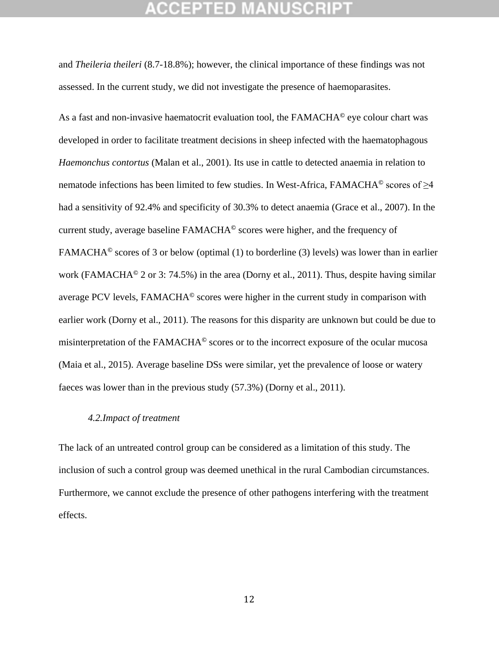and *Theileria theileri* (8.7-18.8%); however, the clinical importance of these findings was not assessed. In the current study, we did not investigate the presence of haemoparasites.

As a fast and non-invasive haematocrit evaluation tool, the FAMACHA**©** eye colour chart was developed in order to facilitate treatment decisions in sheep infected with the haematophagous *Haemonchus contortus* (Malan et al., 2001). Its use in cattle to detected anaemia in relation to nematode infections has been limited to few studies. In West-Africa, FAMACHA**©** scores of ≥4 had a sensitivity of 92.4% and specificity of 30.3% to detect anaemia (Grace et al., 2007). In the current study, average baseline FAMACHA**©** scores were higher, and the frequency of FAMACHA**©** scores of 3 or below (optimal (1) to borderline (3) levels) was lower than in earlier work (FAMACHA**©** 2 or 3: 74.5%) in the area (Dorny et al., 2011). Thus, despite having similar average PCV levels, FAMACHA**©** scores were higher in the current study in comparison with earlier work (Dorny et al., 2011). The reasons for this disparity are unknown but could be due to misinterpretation of the FAMACHA**©** scores or to the incorrect exposure of the ocular mucosa (Maia et al., 2015). Average baseline DSs were similar, yet the prevalence of loose or watery faeces was lower than in the previous study (57.3%) (Dorny et al., 2011).

#### *4.2.Impact of treatment*

The lack of an untreated control group can be considered as a limitation of this study. The inclusion of such a control group was deemed unethical in the rural Cambodian circumstances. Furthermore, we cannot exclude the presence of other pathogens interfering with the treatment effects.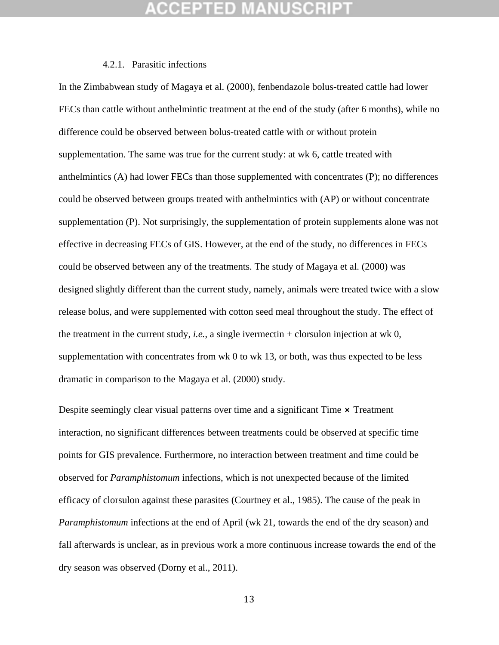#### 4.2.1. Parasitic infections

In the Zimbabwean study of Magaya et al. (2000), fenbendazole bolus-treated cattle had lower FECs than cattle without anthelmintic treatment at the end of the study (after 6 months), while no difference could be observed between bolus-treated cattle with or without protein supplementation. The same was true for the current study: at wk 6, cattle treated with anthelmintics (A) had lower FECs than those supplemented with concentrates (P); no differences could be observed between groups treated with anthelmintics with (AP) or without concentrate supplementation (P). Not surprisingly, the supplementation of protein supplements alone was not effective in decreasing FECs of GIS. However, at the end of the study, no differences in FECs could be observed between any of the treatments. The study of Magaya et al. (2000) was designed slightly different than the current study, namely, animals were treated twice with a slow release bolus, and were supplemented with cotton seed meal throughout the study. The effect of the treatment in the current study, *i.e.*, a single ivermectin + clorsulon injection at wk 0, supplementation with concentrates from wk 0 to wk 13, or both, was thus expected to be less dramatic in comparison to the Magaya et al. (2000) study.

Despite seemingly clear visual patterns over time and a significant Time  $\times$  Treatment interaction, no significant differences between treatments could be observed at specific time points for GIS prevalence. Furthermore, no interaction between treatment and time could be observed for *Paramphistomum* infections, which is not unexpected because of the limited efficacy of clorsulon against these parasites (Courtney et al., 1985). The cause of the peak in *Paramphistomum* infections at the end of April (wk 21, towards the end of the dry season) and fall afterwards is unclear, as in previous work a more continuous increase towards the end of the dry season was observed (Dorny et al., 2011).

13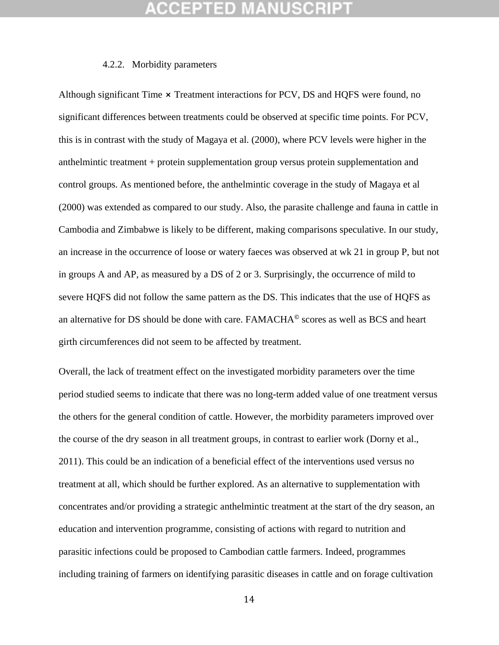### GEPTED

#### 4.2.2. Morbidity parameters

Although significant Time  $\times$  Treatment interactions for PCV, DS and HQFS were found, no significant differences between treatments could be observed at specific time points. For PCV, this is in contrast with the study of Magaya et al. (2000), where PCV levels were higher in the anthelmintic treatment + protein supplementation group versus protein supplementation and control groups. As mentioned before, the anthelmintic coverage in the study of Magaya et al (2000) was extended as compared to our study. Also, the parasite challenge and fauna in cattle in Cambodia and Zimbabwe is likely to be different, making comparisons speculative. In our study, an increase in the occurrence of loose or watery faeces was observed at wk 21 in group P, but not in groups A and AP, as measured by a DS of 2 or 3. Surprisingly, the occurrence of mild to severe HQFS did not follow the same pattern as the DS. This indicates that the use of HQFS as an alternative for DS should be done with care. FAMACHA**©** scores as well as BCS and heart girth circumferences did not seem to be affected by treatment.

Overall, the lack of treatment effect on the investigated morbidity parameters over the time period studied seems to indicate that there was no long-term added value of one treatment versus the others for the general condition of cattle. However, the morbidity parameters improved over the course of the dry season in all treatment groups, in contrast to earlier work (Dorny et al., 2011). This could be an indication of a beneficial effect of the interventions used versus no treatment at all, which should be further explored. As an alternative to supplementation with concentrates and/or providing a strategic anthelmintic treatment at the start of the dry season, an education and intervention programme, consisting of actions with regard to nutrition and parasitic infections could be proposed to Cambodian cattle farmers. Indeed, programmes including training of farmers on identifying parasitic diseases in cattle and on forage cultivation

14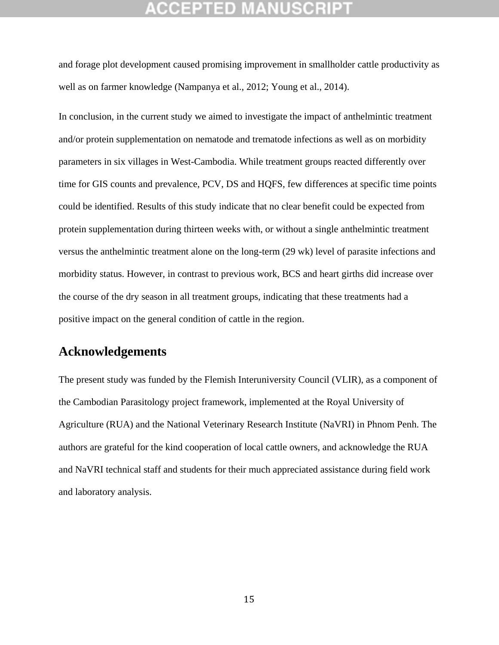and forage plot development caused promising improvement in smallholder cattle productivity as well as on farmer knowledge (Nampanya et al., 2012; Young et al., 2014).

In conclusion, in the current study we aimed to investigate the impact of anthelmintic treatment and/or protein supplementation on nematode and trematode infections as well as on morbidity parameters in six villages in West-Cambodia. While treatment groups reacted differently over time for GIS counts and prevalence, PCV, DS and HQFS, few differences at specific time points could be identified. Results of this study indicate that no clear benefit could be expected from protein supplementation during thirteen weeks with, or without a single anthelmintic treatment versus the anthelmintic treatment alone on the long-term (29 wk) level of parasite infections and morbidity status. However, in contrast to previous work, BCS and heart girths did increase over the course of the dry season in all treatment groups, indicating that these treatments had a positive impact on the general condition of cattle in the region.

### **Acknowledgements**

The present study was funded by the Flemish Interuniversity Council (VLIR), as a component of the Cambodian Parasitology project framework, implemented at the Royal University of Agriculture (RUA) and the National Veterinary Research Institute (NaVRI) in Phnom Penh. The authors are grateful for the kind cooperation of local cattle owners, and acknowledge the RUA and NaVRI technical staff and students for their much appreciated assistance during field work and laboratory analysis.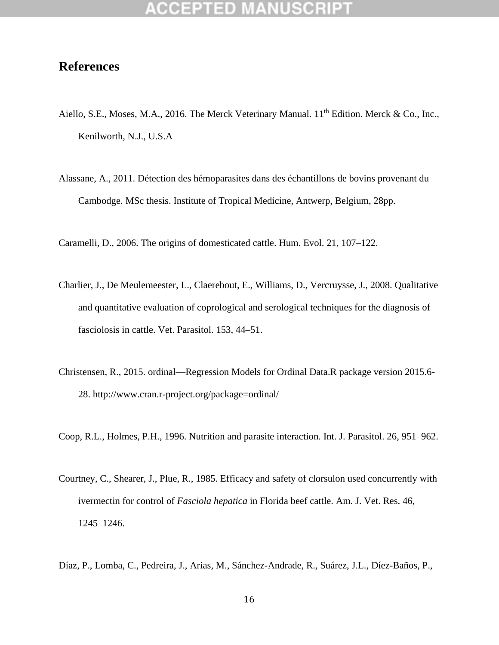### TED

### **References**

- Aiello, S.E., Moses, M.A., 2016. The Merck Veterinary Manual.  $11<sup>th</sup>$  Edition. Merck & Co., Inc., Kenilworth, N.J., U.S.A
- Alassane, A., 2011. Détection des hémoparasites dans des échantillons de bovins provenant du Cambodge. MSc thesis. Institute of Tropical Medicine, Antwerp, Belgium, 28pp.

Caramelli, D., 2006. The origins of domesticated cattle. Hum. Evol. 21, 107–122.

- Charlier, J., De Meulemeester, L., Claerebout, E., Williams, D., Vercruysse, J., 2008. Qualitative and quantitative evaluation of coprological and serological techniques for the diagnosis of fasciolosis in cattle. Vet. Parasitol. 153, 44–51.
- Christensen, R., 2015. ordinal—Regression Models for Ordinal Data.R package version 2015.6- 28. http://www.cran.r-project.org/package=ordinal/

Coop, R.L., Holmes, P.H., 1996. Nutrition and parasite interaction. Int. J. Parasitol. 26, 951–962.

- Courtney, C., Shearer, J., Plue, R., 1985. Efficacy and safety of clorsulon used concurrently with ivermectin for control of *Fasciola hepatica* in Florida beef cattle. Am. J. Vet. Res. 46, 1245–1246.
- Díaz, P., Lomba, C., Pedreira, J., Arias, M., Sánchez-Andrade, R., Suárez, J.L., Díez-Baños, P.,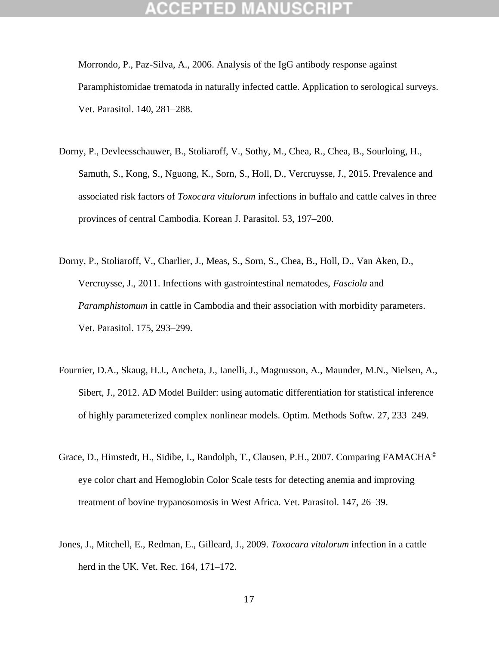Morrondo, P., Paz-Silva, A., 2006. Analysis of the IgG antibody response against Paramphistomidae trematoda in naturally infected cattle. Application to serological surveys. Vet. Parasitol. 140, 281–288.

- Dorny, P., Devleesschauwer, B., Stoliaroff, V., Sothy, M., Chea, R., Chea, B., Sourloing, H., Samuth, S., Kong, S., Nguong, K., Sorn, S., Holl, D., Vercruysse, J., 2015. Prevalence and associated risk factors of *Toxocara vitulorum* infections in buffalo and cattle calves in three provinces of central Cambodia. Korean J. Parasitol. 53, 197–200.
- Dorny, P., Stoliaroff, V., Charlier, J., Meas, S., Sorn, S., Chea, B., Holl, D., Van Aken, D., Vercruysse, J., 2011. Infections with gastrointestinal nematodes, *Fasciola* and *Paramphistomum* in cattle in Cambodia and their association with morbidity parameters. Vet. Parasitol. 175, 293–299.
- Fournier, D.A., Skaug, H.J., Ancheta, J., Ianelli, J., Magnusson, A., Maunder, M.N., Nielsen, A., Sibert, J., 2012. AD Model Builder: using automatic differentiation for statistical inference of highly parameterized complex nonlinear models. Optim. Methods Softw. 27, 233–249.
- Grace, D., Himstedt, H., Sidibe, I., Randolph, T., Clausen, P.H., 2007. Comparing FAMACHA© eye color chart and Hemoglobin Color Scale tests for detecting anemia and improving treatment of bovine trypanosomosis in West Africa. Vet. Parasitol. 147, 26–39.
- Jones, J., Mitchell, E., Redman, E., Gilleard, J., 2009. *Toxocara vitulorum* infection in a cattle herd in the UK. Vet. Rec. 164, 171–172.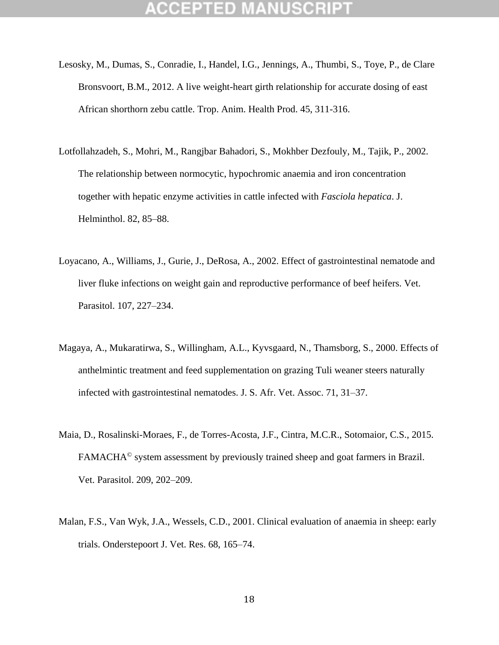- Lesosky, M., Dumas, S., Conradie, I., Handel, I.G., Jennings, A., Thumbi, S., Toye, P., de Clare Bronsvoort, B.M., 2012. A live weight-heart girth relationship for accurate dosing of east African shorthorn zebu cattle. Trop. Anim. Health Prod. 45, 311-316.
- Lotfollahzadeh, S., Mohri, M., Rangjbar Bahadori, S., Mokhber Dezfouly, M., Tajik, P., 2002. The relationship between normocytic, hypochromic anaemia and iron concentration together with hepatic enzyme activities in cattle infected with *Fasciola hepatica*. J. Helminthol. 82, 85–88.
- Loyacano, A., Williams, J., Gurie, J., DeRosa, A., 2002. Effect of gastrointestinal nematode and liver fluke infections on weight gain and reproductive performance of beef heifers. Vet. Parasitol. 107, 227–234.
- Magaya, A., Mukaratirwa, S., Willingham, A.L., Kyvsgaard, N., Thamsborg, S., 2000. Effects of anthelmintic treatment and feed supplementation on grazing Tuli weaner steers naturally infected with gastrointestinal nematodes. J. S. Afr. Vet. Assoc. 71, 31–37.
- Maia, D., Rosalinski-Moraes, F., de Torres-Acosta, J.F., Cintra, M.C.R., Sotomaior, C.S., 2015. FAMACHA© system assessment by previously trained sheep and goat farmers in Brazil. Vet. Parasitol. 209, 202–209.
- Malan, F.S., Van Wyk, J.A., Wessels, C.D., 2001. Clinical evaluation of anaemia in sheep: early trials. Onderstepoort J. Vet. Res. 68, 165–74.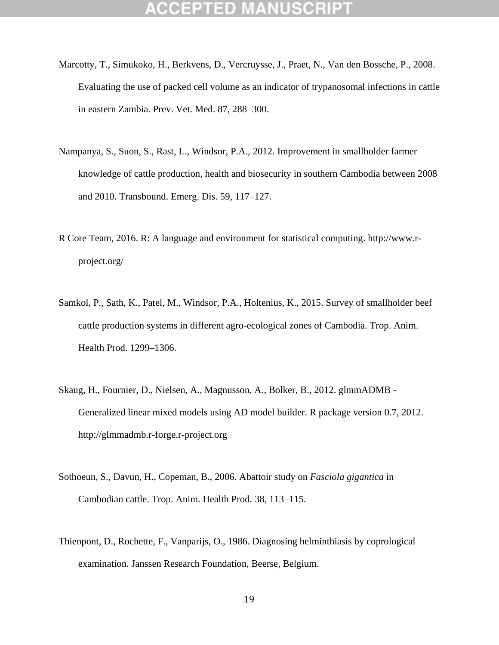- Marcotty, T., Simukoko, H., Berkvens, D., Vercruysse, J., Praet, N., Van den Bossche, P., 2008. Evaluating the use of packed cell volume as an indicator of trypanosomal infections in cattle in eastern Zambia. Prev. Vet. Med. 87, 288–300.
- Nampanya, S., Suon, S., Rast, L., Windsor, P.A., 2012. Improvement in smallholder farmer knowledge of cattle production, health and biosecurity in southern Cambodia between 2008 and 2010. Transbound. Emerg. Dis. 59, 117–127.
- R Core Team, 2016. R: A language and environment for statistical computing. http://www.rproject.org/
- Samkol, P., Sath, K., Patel, M., Windsor, P.A., Holtenius, K., 2015. Survey of smallholder beef cattle production systems in different agro-ecological zones of Cambodia. Trop. Anim. Health Prod. 1299–1306.
- Skaug, H., Fournier, D., Nielsen, A., Magnusson, A., Bolker, B., 2012. glmmADMB Generalized linear mixed models using AD model builder. R package version 0.7, 2012. http://glmmadmb.r-forge.r-project.org
- Sothoeun, S., Davun, H., Copeman, B., 2006. Abattoir study on *Fasciola gigantica* in Cambodian cattle. Trop. Anim. Health Prod. 38, 113–115.
- Thienpont, D., Rochette, F., Vanparijs, O., 1986. Diagnosing helminthiasis by coprological examination. Janssen Research Foundation, Beerse, Belgium.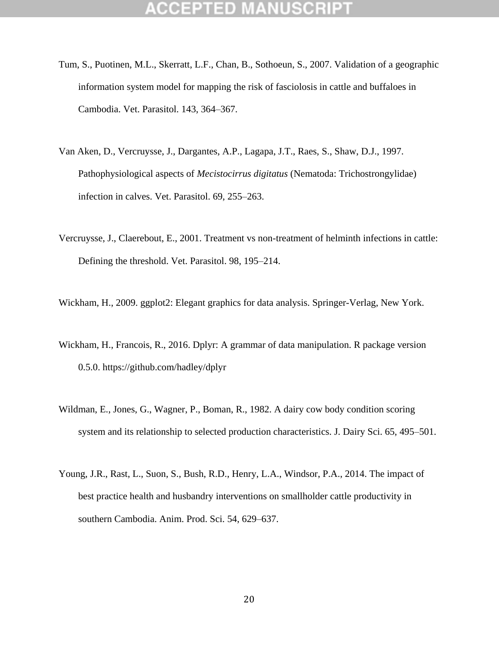- Tum, S., Puotinen, M.L., Skerratt, L.F., Chan, B., Sothoeun, S., 2007. Validation of a geographic information system model for mapping the risk of fasciolosis in cattle and buffaloes in Cambodia. Vet. Parasitol. 143, 364–367.
- Van Aken, D., Vercruysse, J., Dargantes, A.P., Lagapa, J.T., Raes, S., Shaw, D.J., 1997. Pathophysiological aspects of *Mecistocirrus digitatus* (Nematoda: Trichostrongylidae) infection in calves. Vet. Parasitol. 69, 255–263.
- Vercruysse, J., Claerebout, E., 2001. Treatment vs non-treatment of helminth infections in cattle: Defining the threshold. Vet. Parasitol. 98, 195–214.

Wickham, H., 2009. ggplot2: Elegant graphics for data analysis. Springer-Verlag, New York.

- Wickham, H., Francois, R., 2016. Dplyr: A grammar of data manipulation. R package version 0.5.0. https://github.com/hadley/dplyr
- Wildman, E., Jones, G., Wagner, P., Boman, R., 1982. A dairy cow body condition scoring system and its relationship to selected production characteristics. J. Dairy Sci. 65, 495–501.
- Young, J.R., Rast, L., Suon, S., Bush, R.D., Henry, L.A., Windsor, P.A., 2014. The impact of best practice health and husbandry interventions on smallholder cattle productivity in southern Cambodia. Anim. Prod. Sci. 54, 629–637.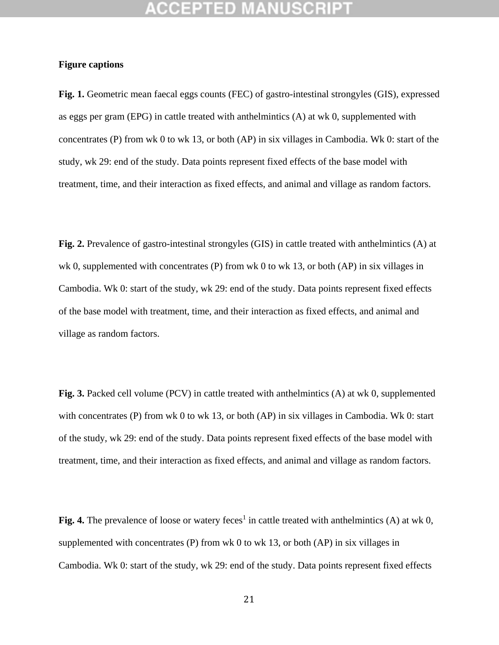#### **Figure captions**

Fig. 1. Geometric mean faecal eggs counts (FEC) of gastro-intestinal strongyles (GIS), expressed as eggs per gram (EPG) in cattle treated with anthelmintics (A) at wk 0, supplemented with concentrates (P) from wk 0 to wk 13, or both (AP) in six villages in Cambodia. Wk 0: start of the study, wk 29: end of the study. Data points represent fixed effects of the base model with treatment, time, and their interaction as fixed effects, and animal and village as random factors.

**Fig. 2.** Prevalence of gastro-intestinal strongyles (GIS) in cattle treated with anthelmintics (A) at wk 0, supplemented with concentrates (P) from wk 0 to wk 13, or both (AP) in six villages in Cambodia. Wk 0: start of the study, wk 29: end of the study. Data points represent fixed effects of the base model with treatment, time, and their interaction as fixed effects, and animal and village as random factors.

**Fig. 3.** Packed cell volume (PCV) in cattle treated with anthelmintics (A) at wk 0, supplemented with concentrates (P) from wk 0 to wk 13, or both (AP) in six villages in Cambodia. Wk 0: start of the study, wk 29: end of the study. Data points represent fixed effects of the base model with treatment, time, and their interaction as fixed effects, and animal and village as random factors.

Fig. 4. The prevalence of loose or watery feces<sup>1</sup> in cattle treated with anthelmintics  $(A)$  at wk 0, supplemented with concentrates (P) from wk 0 to wk 13, or both (AP) in six villages in Cambodia. Wk 0: start of the study, wk 29: end of the study. Data points represent fixed effects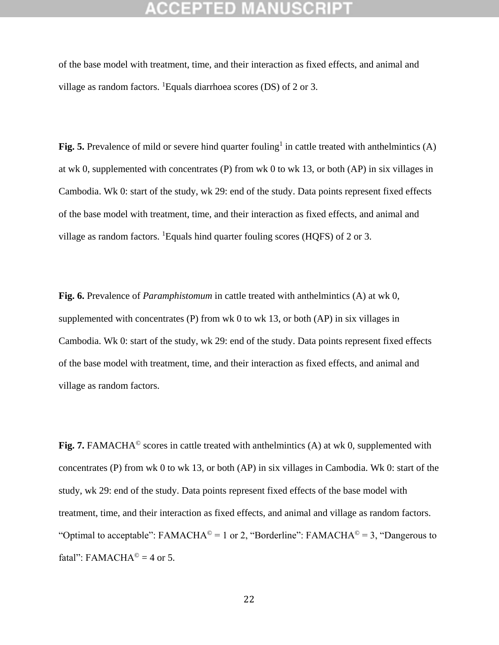of the base model with treatment, time, and their interaction as fixed effects, and animal and village as random factors. <sup>1</sup>Equals diarrhoea scores (DS) of 2 or 3.

Fig. 5. Prevalence of mild or severe hind quarter fouling<sup>1</sup> in cattle treated with anthelmintics  $(A)$ at wk 0, supplemented with concentrates (P) from wk 0 to wk 13, or both (AP) in six villages in Cambodia. Wk 0: start of the study, wk 29: end of the study. Data points represent fixed effects of the base model with treatment, time, and their interaction as fixed effects, and animal and village as random factors. <sup>1</sup>Equals hind quarter fouling scores (HQFS) of 2 or 3.

**Fig. 6.** Prevalence of *Paramphistomum* in cattle treated with anthelmintics (A) at wk 0, supplemented with concentrates (P) from wk 0 to wk 13, or both (AP) in six villages in Cambodia. Wk 0: start of the study, wk 29: end of the study. Data points represent fixed effects of the base model with treatment, time, and their interaction as fixed effects, and animal and village as random factors.

**Fig. 7.** FAMACHA<sup>©</sup> scores in cattle treated with anthelmintics (A) at wk 0, supplemented with concentrates (P) from wk 0 to wk 13, or both (AP) in six villages in Cambodia. Wk 0: start of the study, wk 29: end of the study. Data points represent fixed effects of the base model with treatment, time, and their interaction as fixed effects, and animal and village as random factors. "Optimal to acceptable": FAMACHA<sup> $\circ$ </sup> = 1 or 2, "Borderline": FAMACHA<sup> $\circ$ </sup> = 3, "Dangerous to fatal": FAMACHA<sup> $\circ$ </sup> = 4 or 5.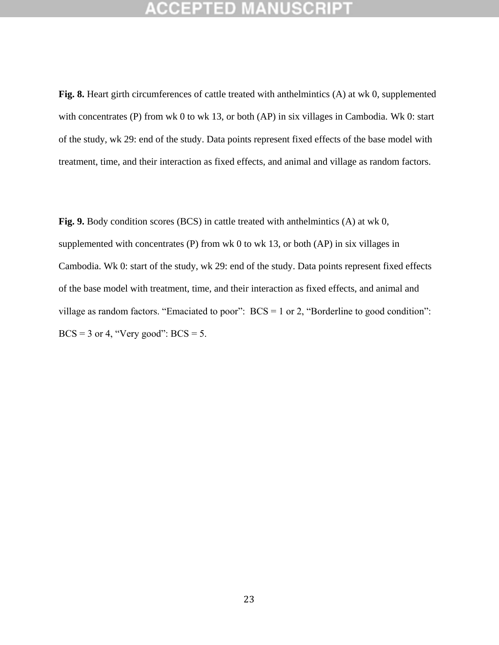**Fig. 8.** Heart girth circumferences of cattle treated with anthelmintics (A) at wk 0, supplemented with concentrates (P) from wk 0 to wk 13, or both (AP) in six villages in Cambodia. Wk 0: start of the study, wk 29: end of the study. Data points represent fixed effects of the base model with treatment, time, and their interaction as fixed effects, and animal and village as random factors.

**Fig. 9.** Body condition scores (BCS) in cattle treated with anthelmintics (A) at wk 0, supplemented with concentrates (P) from wk 0 to wk 13, or both (AP) in six villages in Cambodia. Wk 0: start of the study, wk 29: end of the study. Data points represent fixed effects of the base model with treatment, time, and their interaction as fixed effects, and animal and village as random factors. "Emaciated to poor": BCS = 1 or 2, "Borderline to good condition":  $BCS = 3$  or 4, "Very good":  $BCS = 5$ .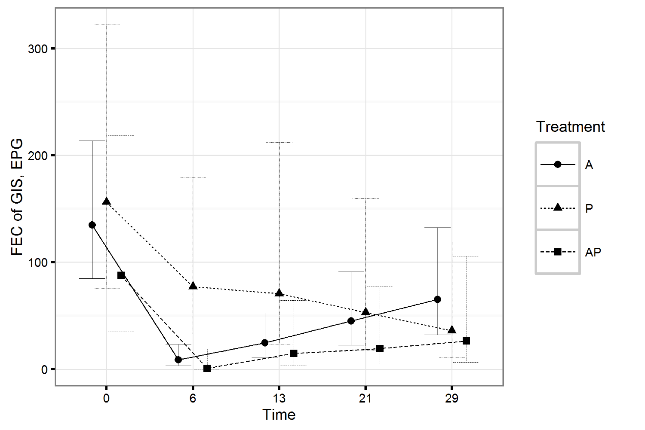



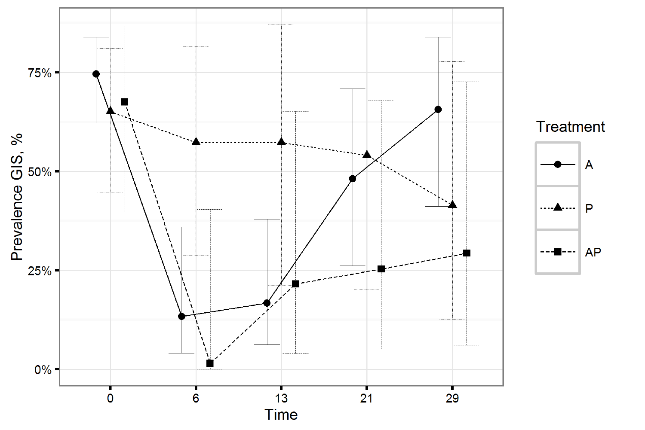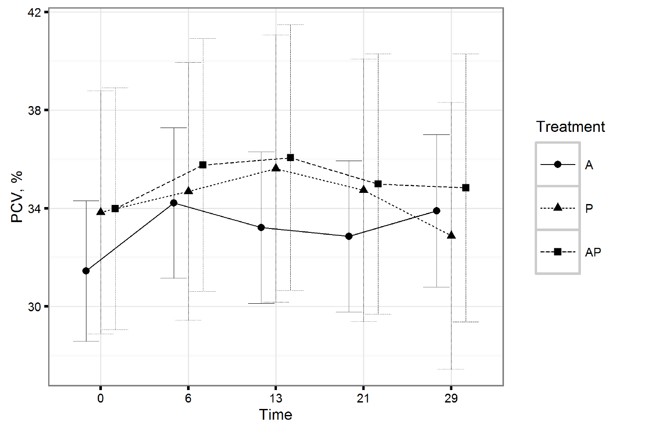

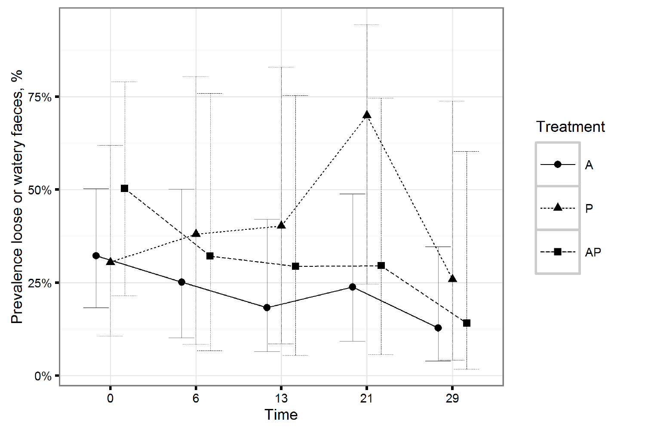



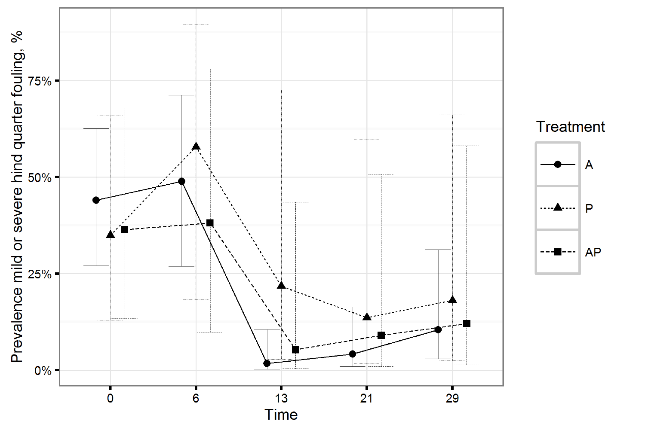

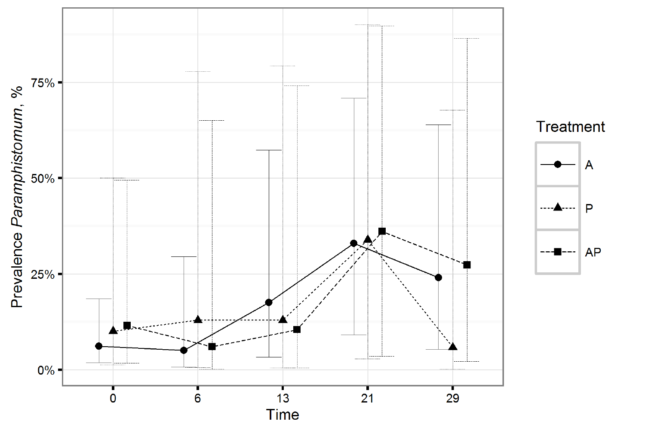



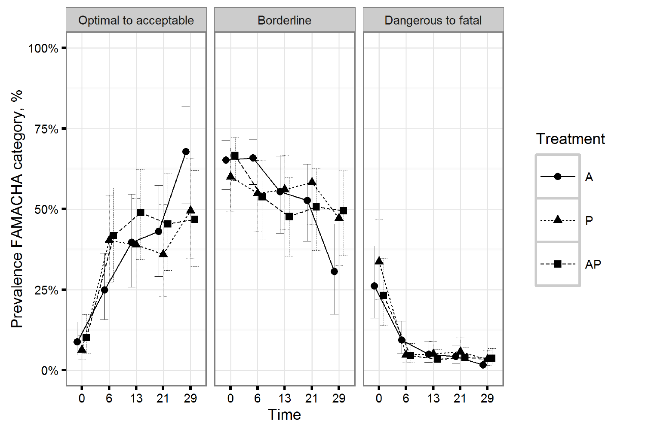



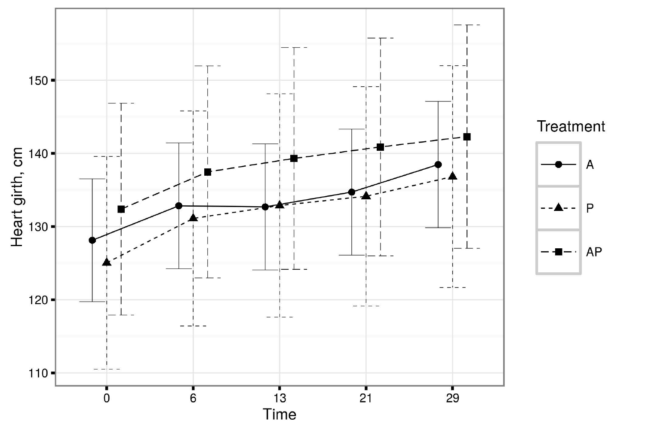

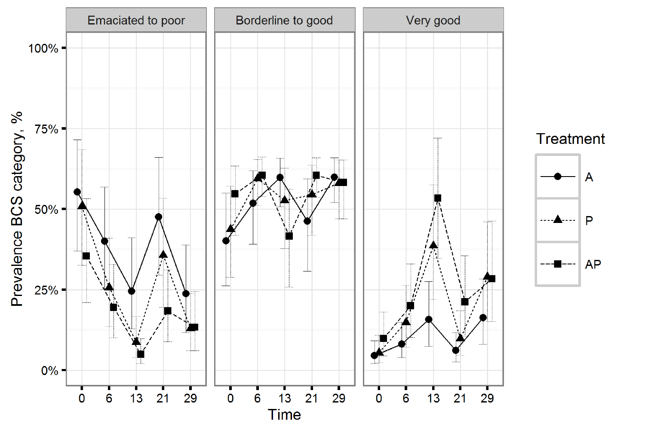

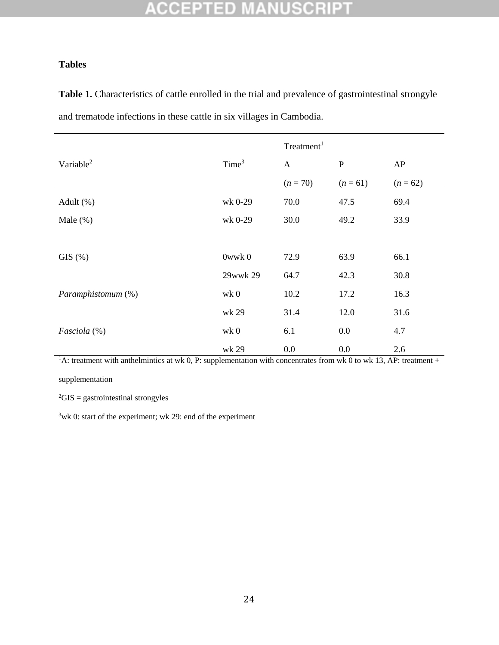#### **CCEPTED MANUSCRIPT** Δ

### **Tables**

Table 1. Characteristics of cattle enrolled in the trial and prevalence of gastrointestinal strongyle and trematode infections in these cattle in six villages in Cambodia.

|                       |                   | Treatment <sup>1</sup> |            |            |
|-----------------------|-------------------|------------------------|------------|------------|
| Variable <sup>2</sup> | Time <sup>3</sup> | $\mathbf{A}$           | ${\bf P}$  | AP         |
|                       |                   | $(n = 70)$             | $(n = 61)$ | $(n = 62)$ |
| Adult $(\%)$          | wk 0-29           | 70.0                   | 47.5       | 69.4       |
| Male $(\%)$           | wk 0-29           | 30.0                   | 49.2       | 33.9       |
|                       |                   |                        |            |            |
| GIS(%)                | Owwk 0            | 72.9                   | 63.9       | 66.1       |
|                       | 29wwk 29          | 64.7                   | 42.3       | 30.8       |
| Paramphistomum (%)    | wk <sub>0</sub>   | 10.2                   | 17.2       | 16.3       |
|                       | wk 29             | 31.4                   | 12.0       | 31.6       |
| Fasciola (%)          | wk <sub>0</sub>   | 6.1                    | 0.0        | 4.7        |
|                       | wk 29             | 0.0                    | 0.0        | 2.6        |

<sup>1</sup>A: treatment with anthelmintics at wk 0, P: supplementation with concentrates from wk 0 to wk 13, AP: treatment +

supplementation

 ${}^{2}$ GIS = gastrointestinal strongyles

3wk 0: start of the experiment; wk 29: end of the experiment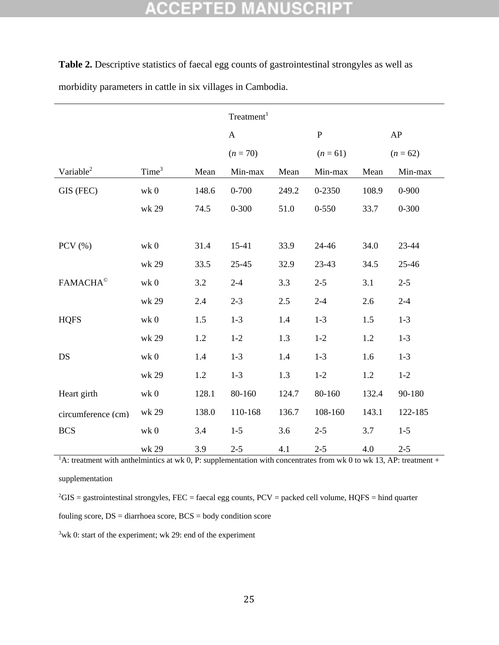#### **IUSCR** 1 D

**Table 2.** Descriptive statistics of faecal egg counts of gastrointestinal strongyles as well as morbidity parameters in cattle in six villages in Cambodia.

|                            |                   |       | Treatment <sup>1</sup> |       |            |       |            |
|----------------------------|-------------------|-------|------------------------|-------|------------|-------|------------|
|                            |                   |       | $\mathbf A$            |       | ${\bf P}$  |       | ${\sf AP}$ |
|                            |                   |       | $(n = 70)$             |       | $(n = 61)$ |       | $(n = 62)$ |
| Variable <sup>2</sup>      | Time <sup>3</sup> | Mean  | Min-max                | Mean  | Min-max    | Mean  | Min-max    |
| GIS (FEC)                  | wk <sub>0</sub>   | 148.6 | $0 - 700$              | 249.2 | 0-2350     | 108.9 | $0 - 900$  |
|                            | wk 29             | 74.5  | $0 - 300$              | 51.0  | $0 - 550$  | 33.7  | $0 - 300$  |
|                            |                   |       |                        |       |            |       |            |
| $PCV$ $(\% )$              | wk <sub>0</sub>   | 31.4  | 15-41                  | 33.9  | 24-46      | 34.0  | 23-44      |
|                            | wk 29             | 33.5  | $25 - 45$              | 32.9  | 23-43      | 34.5  | 25-46      |
| <b>FAMACHA<sup>®</sup></b> | wk <sub>0</sub>   | 3.2   | $2 - 4$                | 3.3   | $2 - 5$    | 3.1   | $2 - 5$    |
|                            | wk 29             | 2.4   | $2 - 3$                | 2.5   | $2 - 4$    | 2.6   | $2 - 4$    |
| <b>HQFS</b>                | $\le k$ 0         | 1.5   | $1 - 3$                | 1.4   | $1 - 3$    | 1.5   | $1 - 3$    |
|                            | wk 29             | 1.2   | $1-2$                  | 1.3   | $1-2$      | 1.2   | $1 - 3$    |
| <b>DS</b>                  | wk <sub>0</sub>   | 1.4   | $1 - 3$                | 1.4   | $1 - 3$    | 1.6   | $1 - 3$    |
|                            | wk 29             | 1.2   | $1 - 3$                | 1.3   | $1 - 2$    | 1.2   | $1 - 2$    |
| Heart girth                | wk <sub>0</sub>   | 128.1 | 80-160                 | 124.7 | 80-160     | 132.4 | 90-180     |
| circumference (cm)         | wk 29             | 138.0 | 110-168                | 136.7 | 108-160    | 143.1 | 122-185    |
| <b>BCS</b>                 | wk <sub>0</sub>   | 3.4   | $1-5$                  | 3.6   | $2 - 5$    | 3.7   | $1-5$      |
|                            | wk 29             | 3.9   | $2 - 5$                | 4.1   | $2 - 5$    | 4.0   | $2 - 5$    |

<sup>1</sup>A: treatment with anthelmintics at wk 0, P: supplementation with concentrates from wk 0 to wk 13, AP: treatment + supplementation

 ${}^{2}$ GIS = gastrointestinal strongyles, FEC = faecal egg counts, PCV = packed cell volume, HQFS = hind quarter

fouling score, DS = diarrhoea score, BCS = body condition score

<sup>3</sup>wk 0: start of the experiment; wk 29: end of the experiment